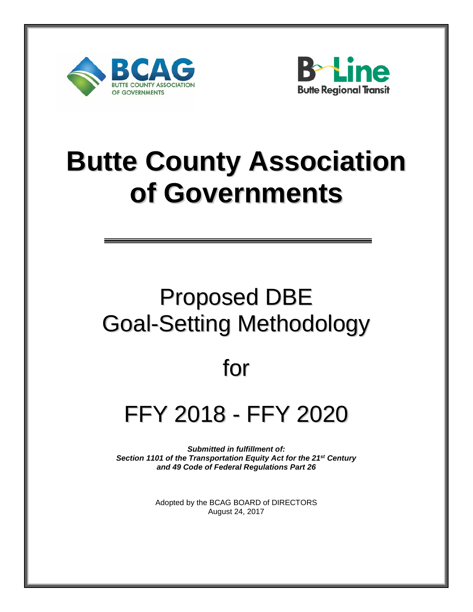



# **Butte County Association of Governments**

## Proposed DBE Goal-Setting Methodology

### for

## FFY 2018 - FFY 2020

*Submitted in fulfillment of: Section 1101 of the Transportation Equity Act for the 21st Century and 49 Code of Federal Regulations Part 26* 

> Adopted by the BCAG BOARD of DIRECTORS August 24, 2017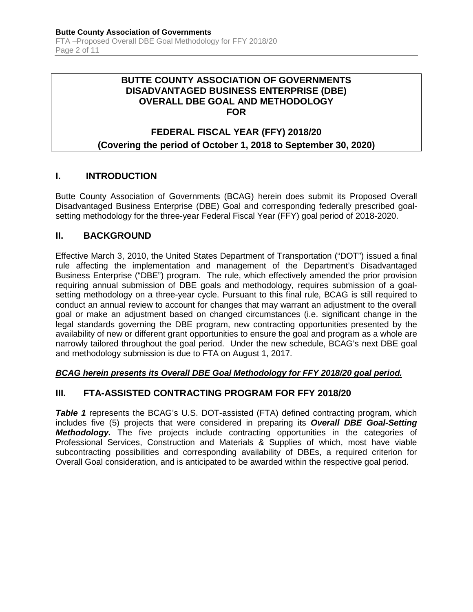#### **BUTTE COUNTY ASSOCIATION OF GOVERNMENTS DISADVANTAGED BUSINESS ENTERPRISE (DBE) OVERALL DBE GOAL AND METHODOLOGY FOR**

### **FEDERAL FISCAL YEAR (FFY) 2018/20**

#### **(Covering the period of October 1, 2018 to September 30, 2020)**

#### **I. INTRODUCTION**

Butte County Association of Governments (BCAG) herein does submit its Proposed Overall Disadvantaged Business Enterprise (DBE) Goal and corresponding federally prescribed goalsetting methodology for the three-year Federal Fiscal Year (FFY) goal period of 2018-2020.

#### **II. BACKGROUND**

Effective March 3, 2010, the United States Department of Transportation ("DOT") issued a final rule affecting the implementation and management of the Department's Disadvantaged Business Enterprise ("DBE") program. The rule, which effectively amended the prior provision requiring annual submission of DBE goals and methodology, requires submission of a goalsetting methodology on a three-year cycle. Pursuant to this final rule, BCAG is still required to conduct an annual review to account for changes that may warrant an adjustment to the overall goal or make an adjustment based on changed circumstances (i.e. significant change in the legal standards governing the DBE program, new contracting opportunities presented by the availability of new or different grant opportunities to ensure the goal and program as a whole are narrowly tailored throughout the goal period. Under the new schedule, BCAG's next DBE goal and methodology submission is due to FTA on August 1, 2017.

#### *BCAG herein presents its Overall DBE Goal Methodology for FFY 2018/20 goal period.*

#### **III. FTA-ASSISTED CONTRACTING PROGRAM FOR FFY 2018/20**

*Table 1* represents the BCAG's U.S. DOT-assisted (FTA) defined contracting program, which includes five (5) projects that were considered in preparing its *Overall DBE Goal-Setting Methodology.* The five projects include contracting opportunities in the categories of Professional Services, Construction and Materials & Supplies of which, most have viable subcontracting possibilities and corresponding availability of DBEs, a required criterion for Overall Goal consideration, and is anticipated to be awarded within the respective goal period.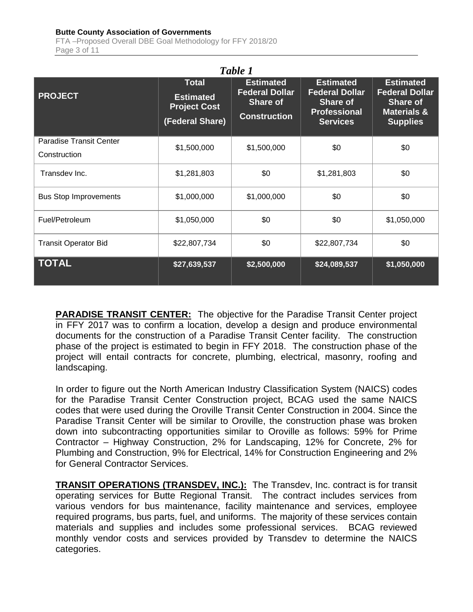#### **Butte County Association of Governments**

FTA –Proposed Overall DBE Goal Methodology for FFY 2018/20 Page 3 of 11

| Table 1                                        |                                                                            |                                                                                     |                                                                                                        |                                                                                                           |  |  |  |  |
|------------------------------------------------|----------------------------------------------------------------------------|-------------------------------------------------------------------------------------|--------------------------------------------------------------------------------------------------------|-----------------------------------------------------------------------------------------------------------|--|--|--|--|
| <b>PROJECT</b>                                 | <b>Total</b><br><b>Estimated</b><br><b>Project Cost</b><br>(Federal Share) | <b>Estimated</b><br><b>Federal Dollar</b><br><b>Share of</b><br><b>Construction</b> | <b>Estimated</b><br><b>Federal Dollar</b><br><b>Share of</b><br><b>Professional</b><br><b>Services</b> | <b>Estimated</b><br><b>Federal Dollar</b><br><b>Share of</b><br><b>Materials &amp;</b><br><b>Supplies</b> |  |  |  |  |
| <b>Paradise Transit Center</b><br>Construction | \$1,500,000                                                                | \$1,500,000                                                                         | \$0                                                                                                    | \$0                                                                                                       |  |  |  |  |
| Transdev Inc.                                  | \$1,281,803                                                                | \$0                                                                                 | \$1,281,803                                                                                            | \$0                                                                                                       |  |  |  |  |
| <b>Bus Stop Improvements</b>                   | \$1,000,000                                                                | \$1,000,000                                                                         | \$0                                                                                                    | \$0                                                                                                       |  |  |  |  |
| Fuel/Petroleum                                 | \$1,050,000                                                                | \$0                                                                                 | \$0                                                                                                    | \$1,050,000                                                                                               |  |  |  |  |
| <b>Transit Operator Bid</b>                    | \$22,807,734                                                               | \$0                                                                                 | \$22,807,734                                                                                           | \$0                                                                                                       |  |  |  |  |
| <b>TOTAL</b>                                   | \$27,639,537                                                               | \$2,500,000                                                                         | \$24,089,537                                                                                           | \$1,050,000                                                                                               |  |  |  |  |

**PARADISE TRANSIT CENTER:** The objective for the Paradise Transit Center project in FFY 2017 was to confirm a location, develop a design and produce environmental documents for the construction of a Paradise Transit Center facility. The construction phase of the project is estimated to begin in FFY 2018. The construction phase of the project will entail contracts for concrete, plumbing, electrical, masonry, roofing and landscaping.

In order to figure out the North American Industry Classification System (NAICS) codes for the Paradise Transit Center Construction project, BCAG used the same NAICS codes that were used during the Oroville Transit Center Construction in 2004. Since the Paradise Transit Center will be similar to Oroville, the construction phase was broken down into subcontracting opportunities similar to Oroville as follows: 59% for Prime Contractor – Highway Construction, 2% for Landscaping, 12% for Concrete, 2% for Plumbing and Construction, 9% for Electrical, 14% for Construction Engineering and 2% for General Contractor Services.

**TRANSIT OPERATIONS (TRANSDEV, INC.):** The Transdev, Inc. contract is for transit operating services for Butte Regional Transit. The contract includes services from various vendors for bus maintenance, facility maintenance and services, employee required programs, bus parts, fuel, and uniforms. The majority of these services contain materials and supplies and includes some professional services. BCAG reviewed monthly vendor costs and services provided by Transdev to determine the NAICS categories.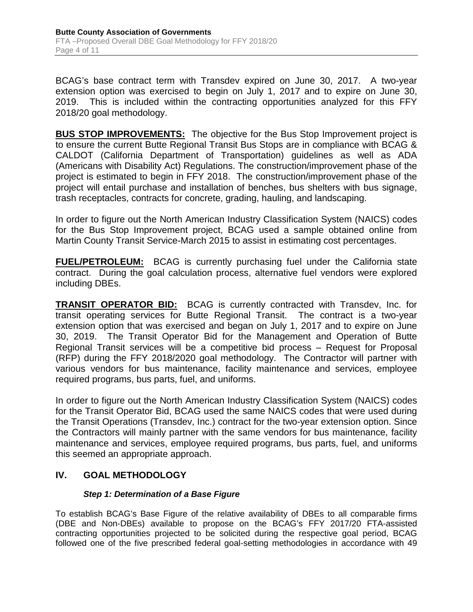BCAG's base contract term with Transdev expired on June 30, 2017. A two-year extension option was exercised to begin on July 1, 2017 and to expire on June 30, 2019. This is included within the contracting opportunities analyzed for this FFY 2018/20 goal methodology.

**BUS STOP IMPROVEMENTS:** The objective for the Bus Stop Improvement project is to ensure the current Butte Regional Transit Bus Stops are in compliance with BCAG & CALDOT (California Department of Transportation) guidelines as well as ADA (Americans with Disability Act) Regulations. The construction/improvement phase of the project is estimated to begin in FFY 2018. The construction/improvement phase of the project will entail purchase and installation of benches, bus shelters with bus signage, trash receptacles, contracts for concrete, grading, hauling, and landscaping.

In order to figure out the North American Industry Classification System (NAICS) codes for the Bus Stop Improvement project, BCAG used a sample obtained online from Martin County Transit Service-March 2015 to assist in estimating cost percentages.

**FUEL/PETROLEUM:** BCAG is currently purchasing fuel under the California state contract. During the goal calculation process, alternative fuel vendors were explored including DBEs.

**TRANSIT OPERATOR BID:** BCAG is currently contracted with Transdev, Inc. for transit operating services for Butte Regional Transit. The contract is a two-year extension option that was exercised and began on July 1, 2017 and to expire on June 30, 2019. The Transit Operator Bid for the Management and Operation of Butte Regional Transit services will be a competitive bid process – Request for Proposal (RFP) during the FFY 2018/2020 goal methodology. The Contractor will partner with various vendors for bus maintenance, facility maintenance and services, employee required programs, bus parts, fuel, and uniforms.

In order to figure out the North American Industry Classification System (NAICS) codes for the Transit Operator Bid, BCAG used the same NAICS codes that were used during the Transit Operations (Transdev, Inc.) contract for the two-year extension option. Since the Contractors will mainly partner with the same vendors for bus maintenance, facility maintenance and services, employee required programs, bus parts, fuel, and uniforms this seemed an appropriate approach.

#### **IV. GOAL METHODOLOGY**

#### *Step 1: Determination of a Base Figure*

To establish BCAG's Base Figure of the relative availability of DBEs to all comparable firms (DBE and Non-DBEs) available to propose on the BCAG's FFY 2017/20 FTA-assisted contracting opportunities projected to be solicited during the respective goal period, BCAG followed one of the five prescribed federal goal-setting methodologies in accordance with 49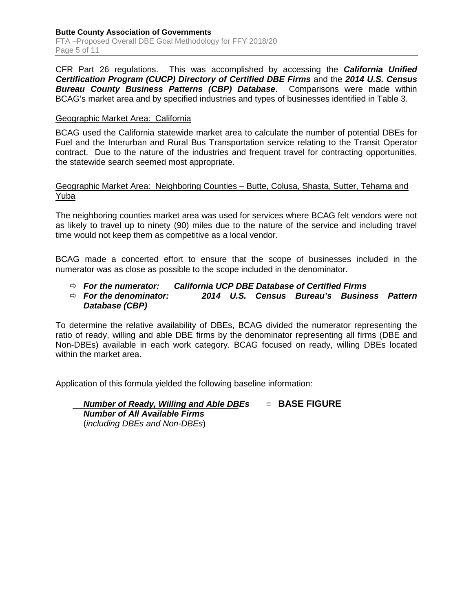CFR Part 26 regulations. This was accomplished by accessing the *California Unified Certification Program (CUCP) Directory of Certified DBE Firms* and the *2014 U.S. Census Bureau County Business Patterns (CBP) Database*. Comparisons were made within BCAG's market area and by specified industries and types of businesses identified in Table 3.

#### Geographic Market Area: California

BCAG used the California statewide market area to calculate the number of potential DBEs for Fuel and the Interurban and Rural Bus Transportation service relating to the Transit Operator contract. Due to the nature of the industries and frequent travel for contracting opportunities, the statewide search seemed most appropriate.

#### Geographic Market Area: Neighboring Counties – Butte, Colusa, Shasta, Sutter, Tehama and Yuba

The neighboring counties market area was used for services where BCAG felt vendors were not as likely to travel up to ninety (90) miles due to the nature of the service and including travel time would not keep them as competitive as a local vendor.

BCAG made a concerted effort to ensure that the scope of businesses included in the numerator was as close as possible to the scope included in the denominator.

- *For the numerator: California UCP DBE Database of Certified Firms*
- *For the denominator: 2014 U.S. Census Bureau's Business Pattern Database (CBP)*

To determine the relative availability of DBEs, BCAG divided the numerator representing the ratio of ready, willing and able DBE firms by the denominator representing all firms (DBE and Non-DBEs) available in each work category. BCAG focused on ready, willing DBEs located within the market area.

Application of this formula yielded the following baseline information:

*Number of Ready, Willing and Able DBEs* = **BASE FIGURE** *Number of All Available Firms* (*including DBEs and Non-DBEs*)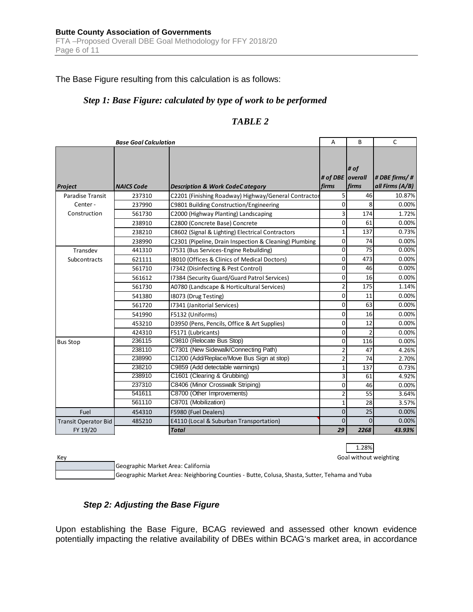The Base Figure resulting from this calculation is as follows:

#### *Step 1: Base Figure: calculated by type of work to be performed*

#### *TABLE 2*

| <b>Base Goal Calculation</b> |                   | A                                                      | B                  | $\mathsf{C}$   |                 |
|------------------------------|-------------------|--------------------------------------------------------|--------------------|----------------|-----------------|
|                              |                   |                                                        |                    | # of           |                 |
|                              |                   |                                                        | # of DBE   overall |                | # DBE firms/#   |
| Project                      | <b>NAICS Code</b> | <b>Description &amp; Work CodeC ategory</b>            | firms              | firms          | all Firms (A/B) |
| Paradise Transit             | 237310            | C2201 (Finishing Roadway) Highway/General Contractor   | 5                  | 46             | 10.87%          |
| Center-                      | 237990            | C9801 Building Construction/Engineering                |                    | 8              | 0.00%           |
| Construction                 | 561730            | C2000 (Highway Planting) Landscaping                   | 3                  | 174            | 1.72%           |
|                              | 238910            | C2800 (Concrete Base) Concrete                         | 0                  | 61             | 0.00%           |
|                              | 238210            | C8602 (Signal & Lighting) Electrical Contractors       | $\mathbf{1}$       | 137            | 0.73%           |
|                              | 238990            | C2301 (Pipeline, Drain Inspection & Cleaning) Plumbing | 0                  | 74             | 0.00%           |
| Transdev                     | 441310            | 17531 (Bus Services-Engine Rebuilding)                 | 0                  | 75             | 0.00%           |
| Subcontracts                 | 621111            | 18010 (Offices & Clinics of Medical Doctors)           | $\mathbf 0$        | 473            | 0.00%           |
|                              | 561710            | 17342 (Disinfecting & Pest Control)                    | 0                  | 46             | 0.00%           |
|                              | 561612            | 17384 (Security Guard/Guard Patrol Services)           | 0                  | 16             | 0.00%           |
|                              | 561730            | A0780 (Landscape & Horticultural Services)             | $\overline{2}$     | 175            | 1.14%           |
|                              | 541380            | 18073 (Drug Testing)                                   | 0                  | 11             | 0.00%           |
|                              | 561720            | 17341 (Janitorial Services)                            | $\mathbf 0$        | 63             | 0.00%           |
|                              | 541990            | F5132 (Uniforms)                                       | 0                  | 16             | 0.00%           |
|                              | 453210            | D3950 (Pens, Pencils, Office & Art Supplies)           | 0                  | 12             | 0.00%           |
|                              | 424310            | F5171 (Lubricants)                                     | 0                  | $\overline{2}$ | 0.00%           |
| <b>Bus Stop</b>              | 236115            | C9810 (Relocate Bus Stop)                              | 0                  | 116            | 0.00%           |
|                              | 238110            | C7301 (New Sidewalk/Connecting Path)                   | $\overline{2}$     | 47             | 4.26%           |
|                              | 238990            | C1200 (Add/Replace/Move Bus Sign at stop)              | $\overline{2}$     | 74             | 2.70%           |
|                              | 238210            | C9859 (Add detectable warnings)                        | 1                  | 137            | 0.73%           |
|                              | 238910            | C1601 (Clearing & Grubbing)                            | 3                  | 61             | 4.92%           |
|                              | 237310            | C8406 (Minor Crosswalk Striping)                       | $\mathbf 0$        | 46             | 0.00%           |
|                              | 541611            | C8700 (Other Improvements)                             | $\overline{2}$     | 55             | 3.64%           |
|                              | 561110            | C8701 (Mobilization)                                   | $\mathbf 1$        | 28             | 3.57%           |
| Fuel                         | 454310            | F5980 (Fuel Dealers)                                   | $\overline{0}$     | 25             | 0.00%           |
| <b>Transit Operator Bid</b>  | 485210            | E4110 (Local & Suburban Transportation)                | $\Omega$           | $\Omega$       | 0.00%           |
| FY 19/20                     |                   | <b>Total</b>                                           | 29                 | 2268           | 43.93%          |

1.28% Goal without weighting

Key

Geographic Market Area: Neighboring Counties - Butte, Colusa, Shasta, Sutter, Tehama and Yuba Geographic Market Area: California

#### *Step 2: Adjusting the Base Figure*

Upon establishing the Base Figure, BCAG reviewed and assessed other known evidence potentially impacting the relative availability of DBEs within BCAG's market area, in accordance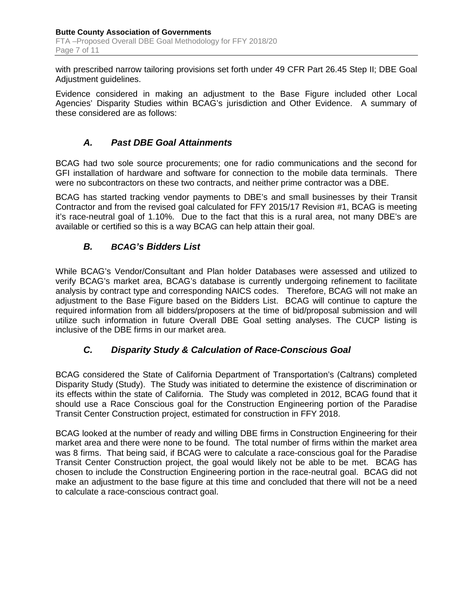with prescribed narrow tailoring provisions set forth under 49 CFR Part 26.45 Step II; DBE Goal Adjustment guidelines.

Evidence considered in making an adjustment to the Base Figure included other Local Agencies' Disparity Studies within BCAG's jurisdiction and Other Evidence. A summary of these considered are as follows:

#### *A. Past DBE Goal Attainments*

BCAG had two sole source procurements; one for radio communications and the second for GFI installation of hardware and software for connection to the mobile data terminals. There were no subcontractors on these two contracts, and neither prime contractor was a DBE.

BCAG has started tracking vendor payments to DBE's and small businesses by their Transit Contractor and from the revised goal calculated for FFY 2015/17 Revision #1, BCAG is meeting it's race-neutral goal of 1.10%. Due to the fact that this is a rural area, not many DBE's are available or certified so this is a way BCAG can help attain their goal.

#### *B. BCAG's Bidders List*

While BCAG's Vendor/Consultant and Plan holder Databases were assessed and utilized to verify BCAG's market area, BCAG's database is currently undergoing refinement to facilitate analysis by contract type and corresponding NAICS codes. Therefore, BCAG will not make an adjustment to the Base Figure based on the Bidders List. BCAG will continue to capture the required information from all bidders/proposers at the time of bid/proposal submission and will utilize such information in future Overall DBE Goal setting analyses. The CUCP listing is inclusive of the DBE firms in our market area.

#### *C. Disparity Study & Calculation of Race-Conscious Goal*

BCAG considered the State of California Department of Transportation's (Caltrans) completed Disparity Study (Study). The Study was initiated to determine the existence of discrimination or its effects within the state of California. The Study was completed in 2012, BCAG found that it should use a Race Conscious goal for the Construction Engineering portion of the Paradise Transit Center Construction project, estimated for construction in FFY 2018.

BCAG looked at the number of ready and willing DBE firms in Construction Engineering for their market area and there were none to be found. The total number of firms within the market area was 8 firms. That being said, if BCAG were to calculate a race-conscious goal for the Paradise Transit Center Construction project, the goal would likely not be able to be met. BCAG has chosen to include the Construction Engineering portion in the race-neutral goal. BCAG did not make an adjustment to the base figure at this time and concluded that there will not be a need to calculate a race-conscious contract goal.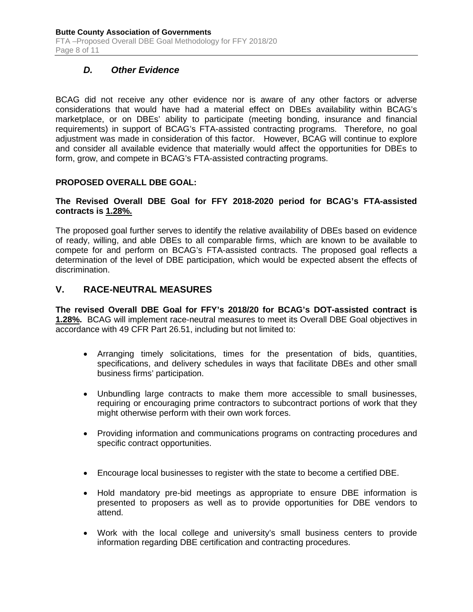#### *D. Other Evidence*

BCAG did not receive any other evidence nor is aware of any other factors or adverse considerations that would have had a material effect on DBEs availability within BCAG's marketplace, or on DBEs' ability to participate (meeting bonding, insurance and financial requirements) in support of BCAG's FTA-assisted contracting programs. Therefore, no goal adjustment was made in consideration of this factor. However, BCAG will continue to explore and consider all available evidence that materially would affect the opportunities for DBEs to form, grow, and compete in BCAG's FTA-assisted contracting programs.

#### **PROPOSED OVERALL DBE GOAL:**

#### **The Revised Overall DBE Goal for FFY 2018-2020 period for BCAG's FTA-assisted contracts is 1.28%.**

The proposed goal further serves to identify the relative availability of DBEs based on evidence of ready, willing, and able DBEs to all comparable firms, which are known to be available to compete for and perform on BCAG's FTA-assisted contracts. The proposed goal reflects a determination of the level of DBE participation, which would be expected absent the effects of discrimination.

#### **V. RACE-NEUTRAL MEASURES**

**The revised Overall DBE Goal for FFY's 2018/20 for BCAG's DOT-assisted contract is 1.28%.** BCAG will implement race-neutral measures to meet its Overall DBE Goal objectives in accordance with 49 CFR Part 26.51, including but not limited to:

- Arranging timely solicitations, times for the presentation of bids, quantities, specifications, and delivery schedules in ways that facilitate DBEs and other small business firms' participation.
- Unbundling large contracts to make them more accessible to small businesses, requiring or encouraging prime contractors to subcontract portions of work that they might otherwise perform with their own work forces.
- Providing information and communications programs on contracting procedures and specific contract opportunities.
- Encourage local businesses to register with the state to become a certified DBE.
- Hold mandatory pre-bid meetings as appropriate to ensure DBE information is presented to proposers as well as to provide opportunities for DBE vendors to attend.
- Work with the local college and university's small business centers to provide information regarding DBE certification and contracting procedures.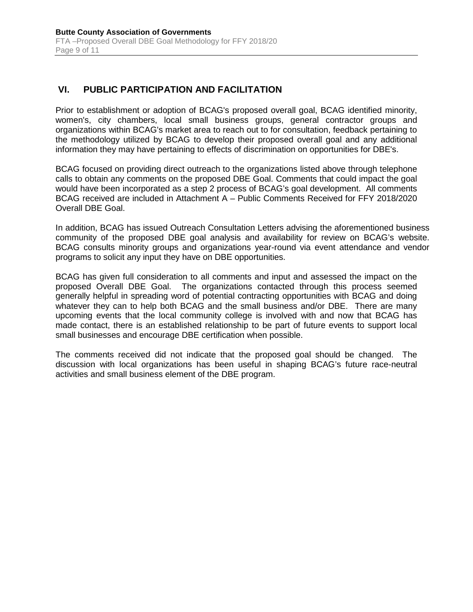#### **VI. PUBLIC PARTICIPATION AND FACILITATION**

Prior to establishment or adoption of BCAG's proposed overall goal, BCAG identified minority, women's, city chambers, local small business groups, general contractor groups and organizations within BCAG's market area to reach out to for consultation, feedback pertaining to the methodology utilized by BCAG to develop their proposed overall goal and any additional information they may have pertaining to effects of discrimination on opportunities for DBE's.

BCAG focused on providing direct outreach to the organizations listed above through telephone calls to obtain any comments on the proposed DBE Goal. Comments that could impact the goal would have been incorporated as a step 2 process of BCAG's goal development. All comments BCAG received are included in Attachment A – Public Comments Received for FFY 2018/2020 Overall DBE Goal.

In addition, BCAG has issued Outreach Consultation Letters advising the aforementioned business community of the proposed DBE goal analysis and availability for review on BCAG's website. BCAG consults minority groups and organizations year-round via event attendance and vendor programs to solicit any input they have on DBE opportunities.

BCAG has given full consideration to all comments and input and assessed the impact on the proposed Overall DBE Goal. The organizations contacted through this process seemed generally helpful in spreading word of potential contracting opportunities with BCAG and doing whatever they can to help both BCAG and the small business and/or DBE. There are many upcoming events that the local community college is involved with and now that BCAG has made contact, there is an established relationship to be part of future events to support local small businesses and encourage DBE certification when possible.

The comments received did not indicate that the proposed goal should be changed. The discussion with local organizations has been useful in shaping BCAG's future race-neutral activities and small business element of the DBE program.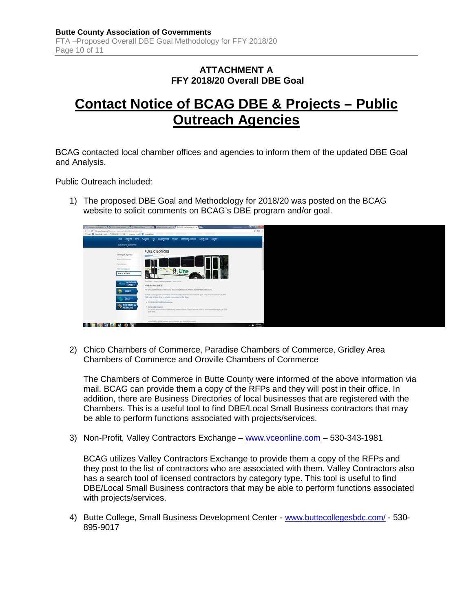#### **ATTACHMENT A FFY 2018/20 Overall DBE Goal**

### **Contact Notice of BCAG DBE & Projects – Public Outreach Agencies**

BCAG contacted local chamber offices and agencies to inform them of the updated DBE Goal and Analysis.

Public Outreach included:

1) The proposed DBE Goal and Methodology for 2018/20 was posted on the BCAG website to solicit comments on BCAG's DBE program and/or goal.



2) Chico Chambers of Commerce, Paradise Chambers of Commerce, Gridley Area Chambers of Commerce and Oroville Chambers of Commerce

The Chambers of Commerce in Butte County were informed of the above information via mail. BCAG can provide them a copy of the RFPs and they will post in their office. In addition, there are Business Directories of local businesses that are registered with the Chambers. This is a useful tool to find DBE/Local Small Business contractors that may be able to perform functions associated with projects/services.

3) Non-Profit, Valley Contractors Exchange – [www.vceonline.com](http://www.vceonline.com/) – 530-343-1981

BCAG utilizes Valley Contractors Exchange to provide them a copy of the RFPs and they post to the list of contractors who are associated with them. Valley Contractors also has a search tool of licensed contractors by category type. This tool is useful to find DBE/Local Small Business contractors that may be able to perform functions associated with projects/services.

4) Butte College, Small Business Development Center - [www.buttecollegesbdc.com/](http://www.buttecollegesbdc.com/) - 530- 895-9017